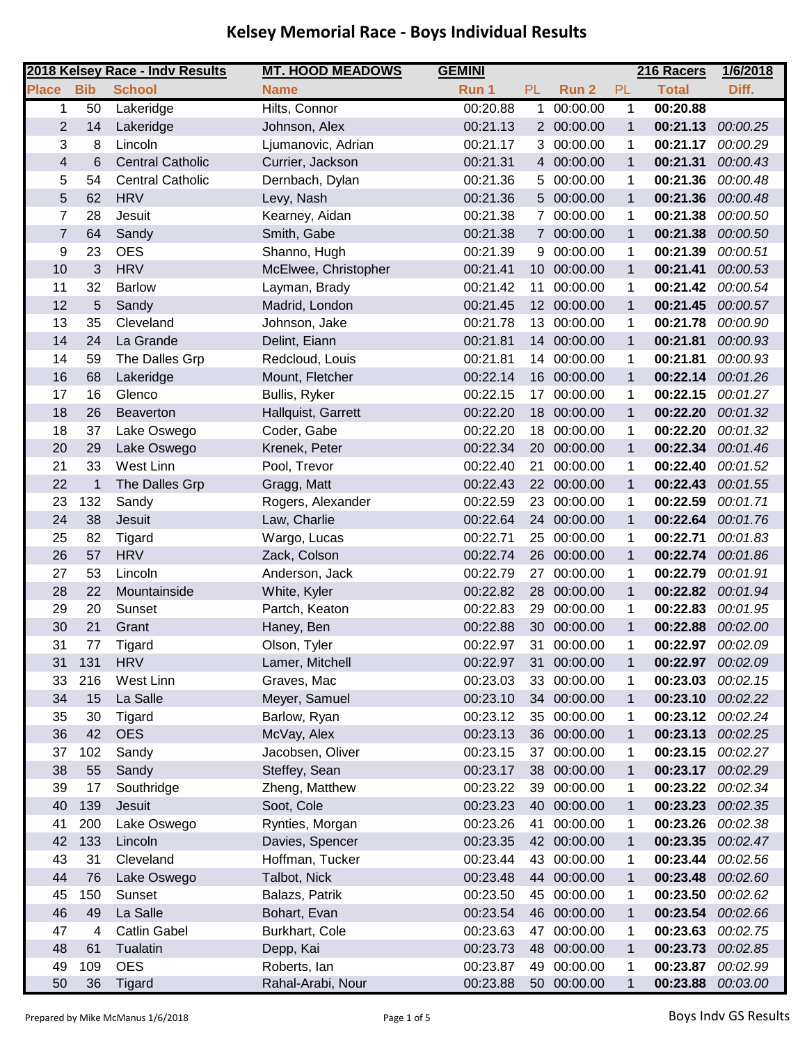|                         |              | 2018 Kelsey Race - Indv Results | <b>MT. HOOD MEADOWS</b> | <b>GEMINI</b> |                 |                  |              | 216 Racers   | 1/6/2018          |
|-------------------------|--------------|---------------------------------|-------------------------|---------------|-----------------|------------------|--------------|--------------|-------------------|
| <b>Place</b>            | <b>Bib</b>   | <b>School</b>                   | <b>Name</b>             | Run 1         | <b>PL</b>       | Run <sub>2</sub> | PL           | <b>Total</b> | Diff.             |
| 1                       | 50           | Lakeridge                       | Hilts, Connor           | 00:20.88      | 1               | 00:00.00         | $\mathbf 1$  | 00:20.88     |                   |
| $\overline{2}$          | 14           | Lakeridge                       | Johnson, Alex           | 00:21.13      |                 | 2 00:00.00       | 1            | 00:21.13     | 00:00.25          |
| 3                       | 8            | Lincoln                         | Ljumanovic, Adrian      | 00:21.17      | 3               | 00:00.00         | 1            | 00:21.17     | 00:00.29          |
| $\overline{\mathbf{4}}$ | 6            | <b>Central Catholic</b>         | Currier, Jackson        | 00:21.31      |                 | 4 00:00.00       | $\mathbf{1}$ | 00:21.31     | 00:00.43          |
| 5                       | 54           | <b>Central Catholic</b>         | Dernbach, Dylan         | 00:21.36      | 5               | 00:00.00         | 1            | 00:21.36     | 00:00.48          |
| 5                       | 62           | <b>HRV</b>                      | Levy, Nash              | 00:21.36      |                 | 5 00:00.00       | $\mathbf{1}$ | 00:21.36     | 00:00.48          |
| $\overline{7}$          | 28           | Jesuit                          | Kearney, Aidan          | 00:21.38      |                 | 7 00:00.00       | 1            | 00:21.38     | 00:00.50          |
| $\overline{7}$          | 64           | Sandy                           | Smith, Gabe             | 00:21.38      |                 | 7 00:00.00       | $\mathbf{1}$ | 00:21.38     | 00:00.50          |
| 9                       | 23           | <b>OES</b>                      | Shanno, Hugh            | 00:21.39      | 9               | 00:00.00         | 1            | 00:21.39     | 00:00.51          |
| 10                      | 3            | <b>HRV</b>                      | McElwee, Christopher    | 00:21.41      | 10 <sup>1</sup> | 00:00.00         | $\mathbf{1}$ | 00:21.41     | 00:00.53          |
| 11                      | 32           | <b>Barlow</b>                   | Layman, Brady           | 00:21.42      | 11              | 00:00.00         | 1            | 00:21.42     | 00:00.54          |
| 12                      | 5            | Sandy                           | Madrid, London          | 00:21.45      |                 | 12 00:00.00      | $\mathbf{1}$ | 00:21.45     | 00:00.57          |
| 13                      | 35           | Cleveland                       | Johnson, Jake           | 00:21.78      |                 | 13 00:00.00      | 1            | 00:21.78     | 00:00.90          |
| 14                      | 24           | La Grande                       | Delint, Eiann           | 00:21.81      |                 | 14 00:00.00      | $\mathbf{1}$ | 00:21.81     | 00:00.93          |
| 14                      | 59           | The Dalles Grp                  | Redcloud, Louis         | 00:21.81      |                 | 14 00:00.00      | 1            | 00:21.81     | 00:00.93          |
| 16                      | 68           | Lakeridge                       | Mount, Fletcher         | 00:22.14      |                 | 16 00:00.00      | $\mathbf{1}$ | 00:22.14     | 00:01.26          |
| 17                      | 16           | Glenco                          | Bullis, Ryker           | 00:22.15      |                 | 17 00:00.00      | 1            | 00:22.15     | 00:01.27          |
| 18                      | 26           | <b>Beaverton</b>                | Hallquist, Garrett      | 00:22.20      | 18              | 00:00.00         | $\mathbf{1}$ | 00:22.20     | 00:01.32          |
| 18                      | 37           | Lake Oswego                     | Coder, Gabe             | 00:22.20      |                 | 18 00:00.00      | 1            | 00:22.20     | 00:01.32          |
| 20                      | 29           | Lake Oswego                     | Krenek, Peter           | 00:22.34      |                 | 20 00:00.00      | $\mathbf{1}$ | 00:22.34     | 00:01.46          |
| 21                      | 33           | West Linn                       | Pool, Trevor            | 00:22.40      | 21              | 00:00.00         | 1            | 00:22.40     | 00:01.52          |
| 22                      | $\mathbf{1}$ | The Dalles Grp                  | Gragg, Matt             | 00:22.43      |                 | 22 00:00.00      | $\mathbf{1}$ | 00:22.43     | 00:01.55          |
| 23                      | 132          | Sandy                           | Rogers, Alexander       | 00:22.59      |                 | 23 00:00.00      | 1            | 00:22.59     | 00:01.71          |
| 24                      | 38           | Jesuit                          | Law, Charlie            | 00:22.64      |                 | 24 00:00.00      | $\mathbf{1}$ | 00:22.64     | 00:01.76          |
| 25                      | 82           | Tigard                          | Wargo, Lucas            | 00:22.71      | 25              | 00:00.00         | 1            | 00:22.71     | 00:01.83          |
| 26                      | 57           | <b>HRV</b>                      | Zack, Colson            | 00:22.74      |                 | 26 00:00.00      | $\mathbf 1$  | 00:22.74     | 00:01.86          |
| 27                      | 53           | Lincoln                         | Anderson, Jack          | 00:22.79      | 27              | 00:00.00         | 1            | 00:22.79     | 00:01.91          |
| 28                      | 22           | Mountainside                    | White, Kyler            | 00:22.82      |                 | 28 00:00.00      | $\mathbf{1}$ | 00:22.82     | 00:01.94          |
| 29                      | 20           | Sunset                          | Partch, Keaton          | 00:22.83      | 29              | 00:00.00         | 1            | 00:22.83     | 00:01.95          |
| 30                      | 21           | Grant                           | Haney, Ben              | 00:22.88      | 30 <sup>°</sup> | 00:00.00         | $\mathbf 1$  | 00:22.88     | 00:02.00          |
| 31                      | 77           | Tigard                          | Olson, Tyler            | 00:22.97      | 31              | 00:00.00         | 1            | 00:22.97     | 00:02.09          |
| 31                      | 131          | <b>HRV</b>                      | Lamer, Mitchell         | 00:22.97      | 31              | 00:00.00         | 1            | 00:22.97     | 00:02.09          |
| 33                      | 216          | West Linn                       | Graves, Mac             | 00:23.03      |                 | 33 00:00.00      | 1            | 00:23.03     | 00:02.15          |
| 34                      | 15           | La Salle                        | Meyer, Samuel           | 00:23.10      |                 | 34 00:00.00      | $\mathbf{1}$ | 00:23.10     | 00:02.22          |
| 35                      | 30           | Tigard                          | Barlow, Ryan            | 00:23.12      |                 | 35 00:00.00      | 1            | 00:23.12     | 00:02.24          |
| 36                      | 42           | <b>OES</b>                      | McVay, Alex             | 00:23.13      |                 | 36 00:00.00      | 1            |              | 00:23.13 00:02.25 |
| 37                      | 102          | Sandy                           | Jacobsen, Oliver        | 00:23.15      | 37              | 00:00.00         | 1            | 00:23.15     | 00:02.27          |
| 38                      | 55           | Sandy                           | Steffey, Sean           | 00:23.17      |                 | 38 00:00.00      | $\mathbf{1}$ | 00:23.17     | 00:02.29          |
| 39                      | 17           | Southridge                      | Zheng, Matthew          | 00:23.22      | 39              | 00:00.00         | 1            | 00:23.22     | 00:02.34          |
| 40                      | 139          | Jesuit                          | Soot, Cole              | 00:23.23      |                 | 40 00:00.00      | $\mathbf 1$  | 00:23.23     | 00:02.35          |
| 41                      | 200          | Lake Oswego                     | Rynties, Morgan         | 00:23.26      | 41              | 00:00.00         | 1            | 00:23.26     | 00:02.38          |
| 42                      | 133          | Lincoln                         | Davies, Spencer         | 00:23.35      |                 | 42 00:00.00      | 1            | 00:23.35     | 00:02.47          |
| 43                      | 31           | Cleveland                       | Hoffman, Tucker         | 00:23.44      |                 | 43 00:00.00      | 1            | 00:23.44     | 00:02.56          |
| 44                      | 76           | Lake Oswego                     | Talbot, Nick            | 00:23.48      |                 | 44 00:00.00      | $\mathbf{1}$ | 00:23.48     | 00:02.60          |
| 45                      | 150          | Sunset                          | Balazs, Patrik          | 00:23.50      | 45              | 00:00.00         | 1            | 00:23.50     | 00:02.62          |
| 46                      | 49           | La Salle                        | Bohart, Evan            | 00:23.54      |                 | 46 00:00.00      | $\mathbf{1}$ | 00:23.54     | 00:02.66          |
| 47                      | 4            | <b>Catlin Gabel</b>             | Burkhart, Cole          | 00:23.63      |                 | 47 00:00.00      | 1            | 00:23.63     | 00:02.75          |
| 48                      | 61           | Tualatin                        | Depp, Kai               | 00:23.73      |                 | 48 00:00.00      | 1            | 00:23.73     | 00:02.85          |
| 49                      | 109          | <b>OES</b>                      | Roberts, Ian            | 00:23.87      |                 | 49 00:00.00      | 1            | 00:23.87     | 00:02.99          |
| 50                      | 36           | Tigard                          | Rahal-Arabi, Nour       | 00:23.88      |                 | 50 00:00.00      | $\mathbf{1}$ | 00:23.88     | 00:03.00          |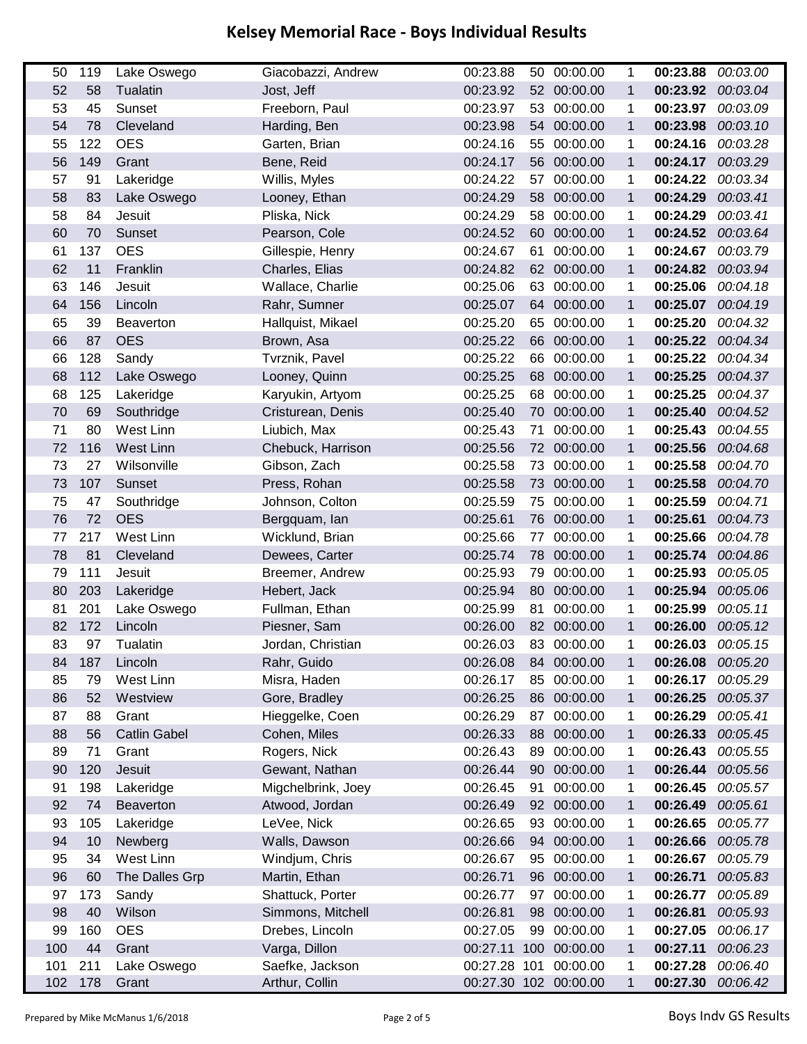| 50  | 119 | Lake Oswego         | Giacobazzi, Andrew | 00:23.88     |    | 50 00:00.00           | 1            | 00:23.88 | 00:03.00 |
|-----|-----|---------------------|--------------------|--------------|----|-----------------------|--------------|----------|----------|
| 52  | 58  | Tualatin            | Jost, Jeff         | 00:23.92     |    | 52 00:00.00           | $\mathbf{1}$ | 00:23.92 | 00:03.04 |
| 53  | 45  | Sunset              | Freeborn, Paul     | 00:23.97     | 53 | 00:00.00              | 1            | 00:23.97 | 00:03.09 |
| 54  | 78  | Cleveland           | Harding, Ben       | 00:23.98     | 54 | 00:00.00              | $\mathbf{1}$ | 00:23.98 | 00:03.10 |
| 55  | 122 | <b>OES</b>          | Garten, Brian      | 00:24.16     | 55 | 00:00.00              | 1            | 00:24.16 | 00:03.28 |
| 56  | 149 | Grant               | Bene, Reid         | 00:24.17     | 56 | 00:00.00              | $\mathbf{1}$ | 00:24.17 | 00:03.29 |
| 57  | 91  | Lakeridge           | Willis, Myles      | 00:24.22     | 57 | 00:00.00              | 1            | 00:24.22 | 00:03.34 |
| 58  | 83  | Lake Oswego         | Looney, Ethan      | 00:24.29     | 58 | 00:00.00              | $\mathbf{1}$ | 00:24.29 | 00:03.41 |
| 58  | 84  | Jesuit              | Pliska, Nick       | 00:24.29     |    | 58 00:00.00           | 1            | 00:24.29 | 00:03.41 |
| 60  | 70  | Sunset              | Pearson, Cole      | 00:24.52     | 60 | 00:00.00              | $\mathbf{1}$ | 00:24.52 | 00:03.64 |
| 61  | 137 | <b>OES</b>          | Gillespie, Henry   | 00:24.67     | 61 | 00:00.00              | 1            | 00:24.67 | 00:03.79 |
| 62  | 11  | Franklin            | Charles, Elias     | 00:24.82     | 62 | 00:00.00              | $\mathbf{1}$ | 00:24.82 | 00:03.94 |
| 63  | 146 | Jesuit              | Wallace, Charlie   | 00:25.06     | 63 | 00:00.00              | 1            | 00:25.06 | 00:04.18 |
| 64  | 156 | Lincoln             | Rahr, Sumner       | 00:25.07     | 64 | 00:00.00              | $\mathbf 1$  | 00:25.07 | 00:04.19 |
| 65  | 39  | <b>Beaverton</b>    | Hallquist, Mikael  | 00:25.20     |    | 65 00:00.00           | 1            | 00:25.20 | 00:04.32 |
| 66  | 87  | <b>OES</b>          | Brown, Asa         | 00:25.22     | 66 | 00:00.00              | $\mathbf{1}$ | 00:25.22 | 00:04.34 |
| 66  | 128 | Sandy               | Tvrznik, Pavel     | 00:25.22     |    | 66 00:00.00           | 1            | 00:25.22 | 00:04.34 |
| 68  | 112 | Lake Oswego         | Looney, Quinn      | 00:25.25     | 68 | 00:00.00              | $\mathbf 1$  | 00:25.25 | 00:04.37 |
| 68  | 125 | Lakeridge           | Karyukin, Artyom   | 00:25.25     | 68 | 00:00.00              | 1            | 00:25.25 | 00:04.37 |
| 70  | 69  | Southridge          | Cristurean, Denis  | 00:25.40     | 70 | 00:00.00              | $\mathbf{1}$ | 00:25.40 | 00:04.52 |
| 71  | 80  | West Linn           | Liubich, Max       | 00:25.43     | 71 | 00:00.00              | 1            | 00:25.43 | 00:04.55 |
| 72  | 116 | <b>West Linn</b>    | Chebuck, Harrison  | 00:25.56     | 72 | 00:00.00              | $\mathbf 1$  | 00:25.56 | 00:04.68 |
| 73  | 27  | Wilsonville         | Gibson, Zach       | 00:25.58     | 73 | 00:00.00              | 1            | 00:25.58 | 00:04.70 |
| 73  | 107 | Sunset              | Press, Rohan       | 00:25.58     | 73 | 00:00.00              | $\mathbf{1}$ | 00:25.58 | 00:04.70 |
| 75  | 47  | Southridge          | Johnson, Colton    | 00:25.59     |    | 75 00:00.00           | $\mathbf 1$  | 00:25.59 | 00:04.71 |
| 76  | 72  | <b>OES</b>          | Bergquam, Ian      | 00:25.61     | 76 | 00:00.00              | $\mathbf 1$  | 00:25.61 | 00:04.73 |
| 77  | 217 | West Linn           | Wicklund, Brian    | 00:25.66     | 77 | 00:00.00              | 1            | 00:25.66 | 00:04.78 |
| 78  | 81  | Cleveland           | Dewees, Carter     | 00:25.74     | 78 | 00:00.00              | $\mathbf{1}$ | 00:25.74 | 00:04.86 |
| 79  | 111 | Jesuit              | Breemer, Andrew    | 00:25.93     | 79 | 00:00.00              | $\mathbf 1$  | 00:25.93 | 00:05.05 |
| 80  | 203 | Lakeridge           | Hebert, Jack       | 00:25.94     | 80 | 00:00.00              | $\mathbf{1}$ | 00:25.94 | 00:05.06 |
| 81  | 201 | Lake Oswego         | Fullman, Ethan     | 00:25.99     | 81 | 00:00.00              | 1            | 00:25.99 | 00:05.11 |
| 82  | 172 | Lincoln             | Piesner, Sam       | 00:26.00     | 82 | 00:00.00              | $\mathbf{1}$ | 00:26.00 | 00:05.12 |
| 83  | 97  | Tualatin            | Jordan, Christian  | 00:26.03     | 83 | 00:00.00              | 1            | 00:26.03 | 00:05.15 |
| 84  | 187 | Lincoln             | Rahr, Guido        | 00:26.08     | 84 | 00:00.00              | 1            | 00:26.08 | 00:05.20 |
| 85  | 79  | West Linn           | Misra, Haden       | 00:26.17     | 85 | 00:00.00              | 1            | 00:26.17 | 00:05.29 |
| 86  | 52  | Westview            | Gore, Bradley      | 00:26.25     |    | 86 00:00.00           | $\mathbf 1$  | 00:26.25 | 00:05.37 |
| 87  | 88  | Grant               | Hieggelke, Coen    | 00:26.29     | 87 | 00:00.00              | 1            | 00:26.29 | 00:05.41 |
| 88  | 56  | <b>Catlin Gabel</b> | Cohen, Miles       | 00:26.33     | 88 | 00:00.00              | $\mathbf 1$  | 00:26.33 | 00:05.45 |
| 89  | 71  | Grant               | Rogers, Nick       | 00:26.43     | 89 | 00:00.00              | 1            | 00:26.43 | 00:05.55 |
| 90  | 120 | Jesuit              | Gewant, Nathan     | 00:26.44     | 90 | 00:00.00              | $\mathbf 1$  | 00:26.44 | 00:05.56 |
| 91  | 198 | Lakeridge           | Migchelbrink, Joey | 00:26.45     | 91 | 00:00.00              | 1            | 00:26.45 | 00:05.57 |
| 92  | 74  | Beaverton           | Atwood, Jordan     | 00:26.49     |    | 92 00:00.00           | $\mathbf 1$  | 00:26.49 | 00:05.61 |
| 93  | 105 | Lakeridge           | LeVee, Nick        | 00:26.65     |    | 93 00:00.00           | 1            | 00:26.65 | 00:05.77 |
| 94  | 10  | Newberg             | Walls, Dawson      | 00:26.66     | 94 | 00:00.00              | $\mathbf{1}$ | 00:26.66 | 00:05.78 |
| 95  | 34  | West Linn           | Windjum, Chris     | 00:26.67     | 95 | 00:00.00              | 1            | 00:26.67 | 00:05.79 |
| 96  | 60  | The Dalles Grp      | Martin, Ethan      | 00:26.71     |    | 96 00:00.00           | 1            | 00:26.71 | 00:05.83 |
| 97  | 173 | Sandy               | Shattuck, Porter   | 00:26.77     | 97 | 00:00.00              | 1            | 00:26.77 | 00:05.89 |
| 98  | 40  | Wilson              | Simmons, Mitchell  | 00:26.81     | 98 | 00:00.00              | $\mathbf{1}$ | 00:26.81 | 00:05.93 |
| 99  | 160 | <b>OES</b>          | Drebes, Lincoln    | 00:27.05     |    | 99 00:00.00           | 1            | 00:27.05 | 00:06.17 |
| 100 | 44  | Grant               | Varga, Dillon      | 00:27.11     |    | 100 00:00.00          | $\mathbf{1}$ | 00:27.11 | 00:06.23 |
| 101 | 211 | Lake Oswego         | Saefke, Jackson    | 00:27.28 101 |    | 00:00.00              | 1            | 00:27.28 | 00:06.40 |
| 102 | 178 | Grant               | Arthur, Collin     |              |    | 00:27.30 102 00:00.00 | 1            | 00:27.30 | 00:06.42 |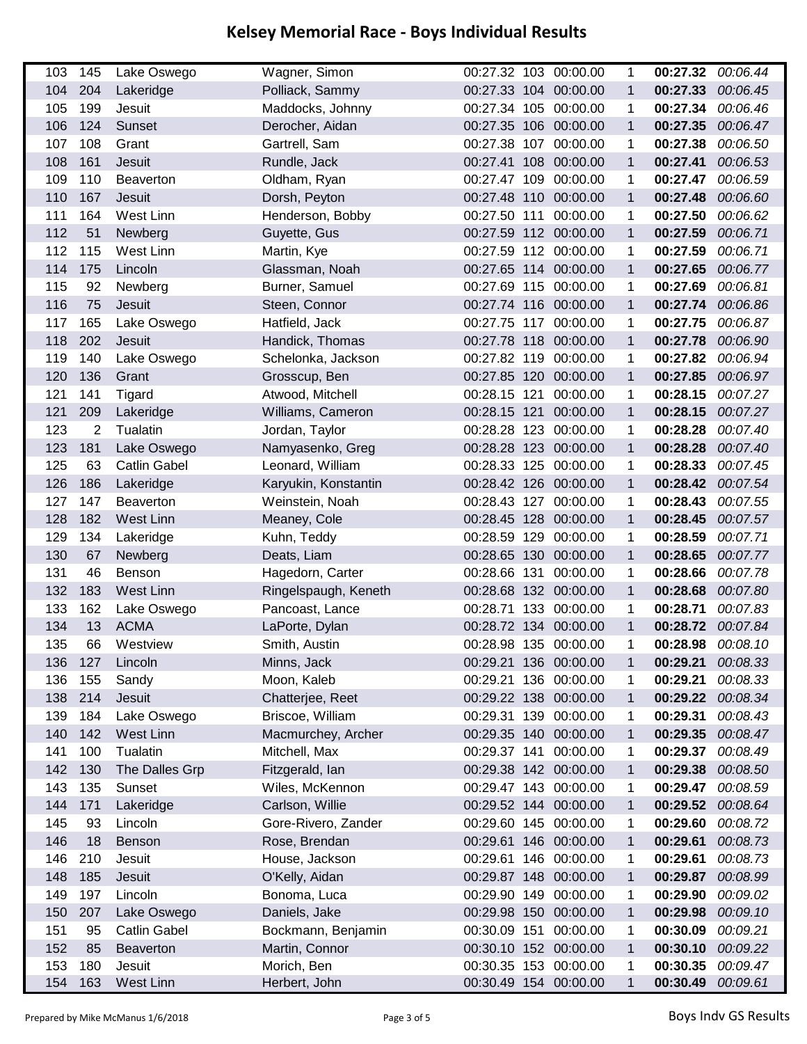| 103        | 145        | Lake Oswego         | Wagner, Simon                | 00:27.32 103 00:00.00                          |          | 1            | 00:27.32             | 00:06.44             |
|------------|------------|---------------------|------------------------------|------------------------------------------------|----------|--------------|----------------------|----------------------|
| 104        | 204        | Lakeridge           | Polliack, Sammy              | 00:27.33 104 00:00.00                          |          | 1            | 00:27.33             | 00:06.45             |
| 105        | 199        | Jesuit              | Maddocks, Johnny             | 00:27.34 105 00:00.00                          |          | 1            | 00:27.34             | 00:06.46             |
| 106        | 124        | Sunset              | Derocher, Aidan              | 00:27.35 106 00:00.00                          |          | 1            | 00:27.35             | 00:06.47             |
| 107        | 108        | Grant               | Gartrell, Sam                | 00:27.38 107 00:00.00                          |          | 1            | 00:27.38             | 00:06.50             |
| 108        | 161        | Jesuit              | Rundle, Jack                 | 00:27.41 108 00:00.00                          |          | $\mathbf 1$  | 00:27.41             | 00:06.53             |
| 109        | 110        | <b>Beaverton</b>    | Oldham, Ryan                 | 00:27.47 109                                   | 00:00.00 | 1            | 00:27.47             | 00:06.59             |
| 110        | 167        | Jesuit              | Dorsh, Peyton                | 00:27.48 110 00:00.00                          |          | $\mathbf{1}$ | 00:27.48             | 00:06.60             |
| 111        | 164        | West Linn           | Henderson, Bobby             | 00:27.50 111                                   | 00:00.00 | 1            | 00:27.50             | 00:06.62             |
| 112        | 51         | Newberg             | Guyette, Gus                 | 00:27.59 112 00:00.00                          |          | $\mathbf{1}$ | 00:27.59             | 00:06.71             |
| 112        | 115        | West Linn           | Martin, Kye                  | 00:27.59 112 00:00.00                          |          | 1            | 00:27.59             | 00:06.71             |
| 114        | 175        | Lincoln             | Glassman, Noah               | 00:27.65 114 00:00.00                          |          | $\mathbf 1$  | 00:27.65             | 00:06.77             |
| 115        | 92         | Newberg             | Burner, Samuel               | 00:27.69 115 00:00.00                          |          | 1            | 00:27.69             | 00:06.81             |
| 116        | 75         | Jesuit              | Steen, Connor                | 00:27.74 116 00:00.00                          |          | $\mathbf 1$  | 00:27.74             | 00:06.86             |
| 117        | 165        | Lake Oswego         | Hatfield, Jack               | 00:27.75 117 00:00.00                          |          | 1            | 00:27.75             | 00:06.87             |
| 118        | 202        | Jesuit              | Handick, Thomas              | 00:27.78 118 00:00.00                          |          | $\mathbf{1}$ | 00:27.78             | 00:06.90             |
| 119        | 140        | Lake Oswego         | Schelonka, Jackson           | 00:27.82 119 00:00.00                          |          | 1            | 00:27.82             | 00:06.94             |
| 120        | 136        | Grant               | Grosscup, Ben                | 00:27.85 120 00:00.00                          |          | $\mathbf{1}$ | 00:27.85             | 00:06.97             |
| 121        | 141        | Tigard              | Atwood, Mitchell             | 00:28.15 121 00:00.00                          |          | 1            | 00:28.15             | 00:07.27             |
| 121        | 209        | Lakeridge           | Williams, Cameron            | 00:28.15 121 00:00.00                          |          | $\mathbf{1}$ | 00:28.15             | 00:07.27             |
| 123        | 2          | Tualatin            | Jordan, Taylor               | 00:28.28 123 00:00.00                          |          | 1            | 00:28.28             | 00:07.40             |
| 123        | 181        | Lake Oswego         | Namyasenko, Greg             | 00:28.28 123 00:00.00                          |          | $\mathbf{1}$ | 00:28.28             | 00:07.40             |
| 125        | 63         | <b>Catlin Gabel</b> | Leonard, William             | 00:28.33 125 00:00.00                          |          | 1            | 00:28.33             | 00:07.45             |
| 126        | 186        | Lakeridge           | Karyukin, Konstantin         | 00:28.42 126 00:00.00                          |          | $\mathbf{1}$ | 00:28.42             | 00:07.54             |
| 127        | 147        | <b>Beaverton</b>    | Weinstein, Noah              | 00:28.43 127 00:00.00                          |          | 1            | 00:28.43             | 00:07.55             |
| 128        | 182        | West Linn           | Meaney, Cole                 | 00:28.45 128 00:00.00                          |          | $\mathbf{1}$ | 00:28.45             | 00:07.57             |
| 129        | 134        | Lakeridge           | Kuhn, Teddy                  | 00:28.59 129 00:00.00                          |          | 1            | 00:28.59             | 00:07.71             |
| 130        | 67         | Newberg             | Deats, Liam                  | 00:28.65 130 00:00.00                          |          | $\mathbf{1}$ | 00:28.65             | 00:07.77             |
| 131        | 46         | <b>Benson</b>       | Hagedorn, Carter             | 00:28.66 131                                   | 00:00.00 | 1            | 00:28.66             | 00:07.78             |
| 132        | 183        | <b>West Linn</b>    | Ringelspaugh, Keneth         | 00:28.68 132 00:00.00                          |          | $\mathbf 1$  | 00:28.68             | 00:07.80             |
| 133        | 162        | Lake Oswego         | Pancoast, Lance              | 00:28.71 133 00:00.00                          |          | 1            | 00:28.71             | 00:07.83             |
| 134        | 13         | <b>ACMA</b>         | LaPorte, Dylan               | 00:28.72 134 00:00.00                          |          | 1            | 00:28.72             | 00:07.84             |
| 135        | 66         | Westview            | Smith, Austin                | 00:28.98 135 00:00.00                          |          | 1            | 00:28.98             | 00:08.10             |
| 136        | 127        | Lincoln             | Minns, Jack                  | 00:29.21 136 00:00.00                          |          | 1            | 00:29.21             | 00:08.33             |
| 136        | 155        | Sandy               | Moon, Kaleb                  | 00:29.21 136 00:00.00                          |          | 1            | 00:29.21             | 00:08.33             |
| 138        | 214        | Jesuit              | Chatterjee, Reet             | 00:29.22 138 00:00.00                          |          | 1            | 00:29.22             | 00:08.34             |
| 139        | 184        | Lake Oswego         | Briscoe, William             | 00:29.31 139 00:00.00                          |          | 1            | 00:29.31             | 00:08.43             |
| 140        | 142        | West Linn           | Macmurchey, Archer           | 00:29.35 140 00:00.00                          |          | $\mathbf{1}$ | 00:29.35             | 00:08.47             |
| 141        | 100        | Tualatin            | Mitchell, Max                | 00:29.37 141                                   | 00:00.00 | 1            | 00:29.37             | 00:08.49             |
| 142        | 130        | The Dalles Grp      | Fitzgerald, lan              | 00:29.38 142 00:00.00                          |          | 1            | 00:29.38             | 00:08.50             |
| 143        | 135        | Sunset              | Wiles, McKennon              | 00:29.47 143 00:00.00                          |          | 1            | 00:29.47             | 00:08.59             |
| 144        | 171        | Lakeridge           | Carlson, Willie              | 00:29.52 144 00:00.00                          |          | 1            | 00:29.52 00:08.64    |                      |
| 145        | 93         | Lincoln             | Gore-Rivero, Zander          | 00:29.60 145 00:00.00                          |          | 1            | 00:29.60             | 00:08.72             |
| 146        | 18         | Benson              | Rose, Brendan                | 00:29.61 146 00:00.00                          |          | $\mathbf{1}$ | 00:29.61             | 00:08.73             |
| 146        | 210        | Jesuit              | House, Jackson               | 00:29.61 146 00:00.00                          |          | 1            | 00:29.61             | 00:08.73             |
| 148        | 185        | Jesuit              | O'Kelly, Aidan               | 00:29.87 148 00:00.00                          |          | $\mathbf{1}$ | 00:29.87             | 00:08.99             |
| 149        | 197        | Lincoln             | Bonoma, Luca                 | 00:29.90 149 00:00.00                          |          | 1            | 00:29.90             | 00:09.02             |
| 150        | 207        | Lake Oswego         | Daniels, Jake                | 00:29.98 150 00:00.00                          |          | 1            | 00:29.98             | 00:09.10             |
| 151        | 95         | <b>Catlin Gabel</b> | Bockmann, Benjamin           | 00:30.09 151                                   | 00:00.00 | 1            | 00:30.09             | 00:09.21             |
| 152        | 85         | Beaverton           | Martin, Connor               | 00:30.10 152 00:00.00                          |          | 1            | 00:30.10             | 00:09.22             |
| 153<br>154 | 180<br>163 | Jesuit<br>West Linn | Morich, Ben<br>Herbert, John | 00:30.35 153 00:00.00<br>00:30.49 154 00:00.00 |          | 1<br>1       | 00:30.35<br>00:30.49 | 00:09.47<br>00:09.61 |
|            |            |                     |                              |                                                |          |              |                      |                      |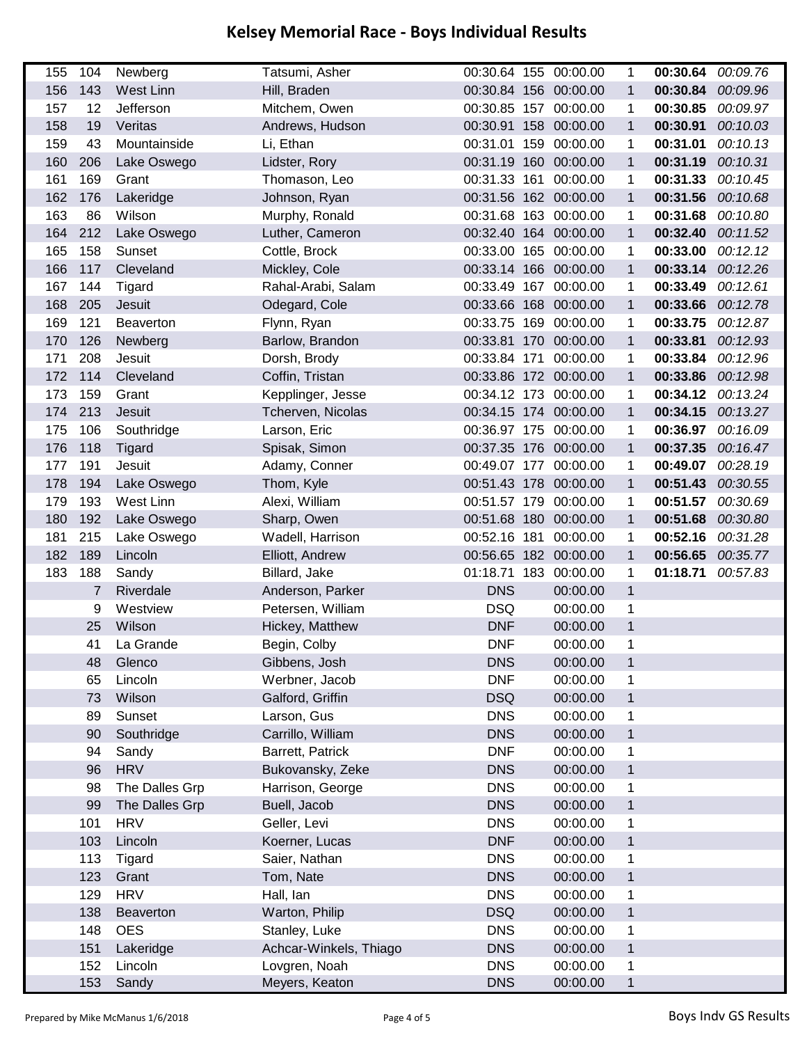| 155 | 104            | Newberg          | Tatsumi, Asher         |              | 00:30.64 155 00:00.00 | 1            | 00:30.64          | 00:09.76 |
|-----|----------------|------------------|------------------------|--------------|-----------------------|--------------|-------------------|----------|
| 156 | 143            | West Linn        | Hill, Braden           |              | 00:30.84 156 00:00.00 | $\mathbf 1$  | 00:30.84          | 00:09.96 |
| 157 | 12             | Jefferson        | Mitchem, Owen          |              | 00:30.85 157 00:00.00 | 1            | 00:30.85          | 00:09.97 |
| 158 | 19             | Veritas          | Andrews, Hudson        |              | 00:30.91 158 00:00.00 | 1            | 00:30.91          | 00:10.03 |
| 159 | 43             | Mountainside     | Li, Ethan              |              | 00:31.01 159 00:00.00 | 1            | 00:31.01          | 00:10.13 |
| 160 | 206            | Lake Oswego      | Lidster, Rory          |              | 00:31.19 160 00:00.00 | $\mathbf 1$  | 00:31.19          | 00:10.31 |
| 161 | 169            | Grant            | Thomason, Leo          | 00:31.33 161 | 00:00.00              | 1            | 00:31.33          | 00:10.45 |
| 162 | 176            | Lakeridge        | Johnson, Ryan          |              | 00:31.56 162 00:00.00 | $\mathbf 1$  | 00:31.56          | 00:10.68 |
| 163 | 86             | Wilson           | Murphy, Ronald         |              | 00:31.68 163 00:00.00 | 1            | 00:31.68          | 00:10.80 |
| 164 | 212            | Lake Oswego      | Luther, Cameron        |              | 00:32.40 164 00:00.00 | $\mathbf{1}$ | 00:32.40          | 00:11.52 |
| 165 | 158            | Sunset           | Cottle, Brock          |              | 00:33.00 165 00:00.00 | 1            | 00:33.00          | 00:12.12 |
| 166 | 117            | Cleveland        | Mickley, Cole          |              | 00:33.14 166 00:00.00 | $\mathbf{1}$ | 00:33.14          | 00:12.26 |
| 167 | 144            | Tigard           | Rahal-Arabi, Salam     |              | 00:33.49 167 00:00.00 | 1            | 00:33.49          | 00:12.61 |
| 168 | 205            | Jesuit           | Odegard, Cole          |              | 00:33.66 168 00:00.00 | $\mathbf{1}$ | 00:33.66          | 00:12.78 |
| 169 | 121            | <b>Beaverton</b> | Flynn, Ryan            |              | 00:33.75 169 00:00.00 | 1            | 00:33.75          | 00:12.87 |
| 170 | 126            | Newberg          | Barlow, Brandon        |              | 00:33.81 170 00:00.00 | $\mathbf{1}$ | 00:33.81          | 00:12.93 |
| 171 | 208            | Jesuit           | Dorsh, Brody           |              | 00:33.84 171 00:00.00 | 1            | 00:33.84          | 00:12.96 |
| 172 | 114            | Cleveland        | Coffin, Tristan        |              | 00:33.86 172 00:00.00 | $\mathbf{1}$ | 00:33.86 00:12.98 |          |
| 173 | 159            | Grant            | Kepplinger, Jesse      |              | 00:34.12 173 00:00.00 | 1            | 00:34.12 00:13.24 |          |
| 174 | 213            | Jesuit           | Tcherven, Nicolas      |              | 00:34.15 174 00:00.00 | $\mathbf{1}$ | 00:34.15          | 00:13.27 |
| 175 | 106            | Southridge       | Larson, Eric           |              | 00:36.97 175 00:00.00 | 1            | 00:36.97          | 00:16.09 |
| 176 | 118            | <b>Tigard</b>    | Spisak, Simon          |              | 00:37.35 176 00:00.00 | $\mathbf{1}$ | 00:37.35 00:16.47 |          |
| 177 | 191            | Jesuit           | Adamy, Conner          |              | 00:49.07 177 00:00.00 | 1            | 00:49.07 00:28.19 |          |
| 178 | 194            | Lake Oswego      | Thom, Kyle             |              | 00:51.43 178 00:00.00 | $\mathbf{1}$ | 00:51.43          | 00:30.55 |
| 179 | 193            | West Linn        | Alexi, William         |              | 00:51.57 179 00:00.00 | 1            | 00:51.57          | 00:30.69 |
| 180 | 192            | Lake Oswego      | Sharp, Owen            |              | 00:51.68 180 00:00.00 | $\mathbf{1}$ | 00:51.68 00:30.80 |          |
| 181 | 215            | Lake Oswego      | Wadell, Harrison       | 00:52.16 181 | 00:00.00              | 1            | 00:52.16          | 00:31.28 |
| 182 | 189            | Lincoln          | Elliott, Andrew        |              | 00:56.65 182 00:00.00 | $\mathbf{1}$ | 00:56.65          | 00:35.77 |
| 183 | 188            | Sandy            | Billard, Jake          | 01:18.71 183 | 00:00.00              | 1            | 01:18.71          | 00:57.83 |
|     | $\overline{7}$ | Riverdale        | Anderson, Parker       | <b>DNS</b>   | 00:00.00              | $\mathbf{1}$ |                   |          |
|     | 9              | Westview         | Petersen, William      | <b>DSQ</b>   | 00:00.00              | 1            |                   |          |
|     | 25             | Wilson           | Hickey, Matthew        | <b>DNF</b>   | 00:00.00              | $\mathbf{1}$ |                   |          |
|     | 41             | La Grande        | Begin, Colby           | <b>DNF</b>   | 00:00.00              | 1            |                   |          |
|     | 48             | Glenco           | Gibbens, Josh          | <b>DNS</b>   | 00:00.00              | 1            |                   |          |
|     | 65             | Lincoln          | Werbner, Jacob         | <b>DNF</b>   | 00:00.00              | 1            |                   |          |
|     | 73             | Wilson           | Galford, Griffin       | <b>DSQ</b>   | 00:00.00              | $\mathbf{1}$ |                   |          |
|     | 89             | Sunset           | Larson, Gus            | <b>DNS</b>   | 00:00.00              | 1            |                   |          |
|     | 90             | Southridge       | Carrillo, William      | <b>DNS</b>   | 00:00.00              | $\mathbf 1$  |                   |          |
|     | 94             | Sandy            | Barrett, Patrick       | <b>DNF</b>   | 00:00.00              | 1            |                   |          |
|     | 96             | <b>HRV</b>       | Bukovansky, Zeke       | <b>DNS</b>   | 00:00.00              | $\mathbf{1}$ |                   |          |
|     | 98             | The Dalles Grp   | Harrison, George       | <b>DNS</b>   | 00:00.00              | $\mathbf 1$  |                   |          |
|     | 99             | The Dalles Grp   | Buell, Jacob           | <b>DNS</b>   | 00:00.00              | $\mathbf 1$  |                   |          |
|     | 101            | <b>HRV</b>       | Geller, Levi           | <b>DNS</b>   | 00:00.00              | 1            |                   |          |
|     | 103            | Lincoln          | Koerner, Lucas         | <b>DNF</b>   | 00:00.00              | $\mathbf{1}$ |                   |          |
|     | 113            | Tigard           | Saier, Nathan          | <b>DNS</b>   | 00:00.00              | $\mathbf 1$  |                   |          |
|     | 123            | Grant            | Tom, Nate              | <b>DNS</b>   | 00:00.00              | $\mathbf 1$  |                   |          |
|     | 129            | <b>HRV</b>       | Hall, lan              | <b>DNS</b>   | 00:00.00              | 1            |                   |          |
|     | 138            | Beaverton        | Warton, Philip         | <b>DSQ</b>   | 00:00.00              | $\mathbf{1}$ |                   |          |
|     | 148            | <b>OES</b>       | Stanley, Luke          | <b>DNS</b>   | 00:00.00              | $\mathbf 1$  |                   |          |
|     | 151            | Lakeridge        | Achcar-Winkels, Thiago | <b>DNS</b>   | 00:00.00              | $\mathbf 1$  |                   |          |
|     | 152            | Lincoln          | Lovgren, Noah          | <b>DNS</b>   | 00:00.00              | 1            |                   |          |
|     | 153            | Sandy            | Meyers, Keaton         | <b>DNS</b>   | 00:00.00              | $\mathbf{1}$ |                   |          |